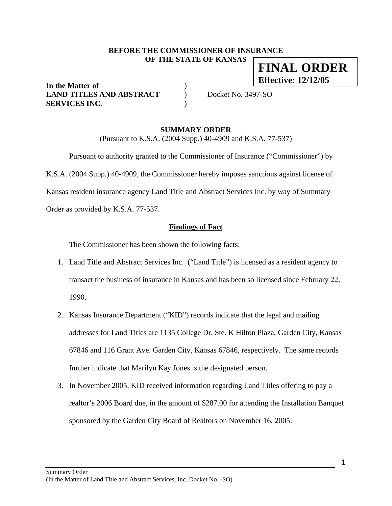### **BEFORE THE COMMISSIONER OF INSURANCE OF THE STATE OF KANSAS FINAL ORDER**

**In the Matter of** ) **LAND TITLES AND ABSTRACT** ) Docket No. 3497-SO **SERVICES INC.** )

**Effective: 12/12/05**

### **SUMMARY ORDER**

(Pursuant to K.S.A. (2004 Supp.) 40-4909 and K.S.A. 77-537)

 Pursuant to authority granted to the Commissioner of Insurance ("Commissioner") by K.S.A. (2004 Supp.) 40-4909, the Commissioner hereby imposes sanctions against license of Kansas resident insurance agency Land Title and Abstract Services Inc. by way of Summary Order as provided by K.S.A. 77-537.

### **Findings of Fact**

The Commissioner has been shown the following facts:

- 1. Land Title and Abstract Services Inc. ("Land Title") is licensed as a resident agency to transact the business of insurance in Kansas and has been so licensed since February 22, 1990.
- 2. Kansas Insurance Department ("KID") records indicate that the legal and mailing addresses for Land Titles are 1135 College Dr, Ste. K Hilton Plaza, Garden City, Kansas 67846 and 116 Grant Ave. Garden City, Kansas 67846, respectively. The same records further indicate that Marilyn Kay Jones is the designated person.
- 3. In November 2005, KID received information regarding Land Titles offering to pay a realtor's 2006 Board due, in the amount of \$287.00 for attending the Installation Banquet sponsored by the Garden City Board of Realtors on November 16, 2005.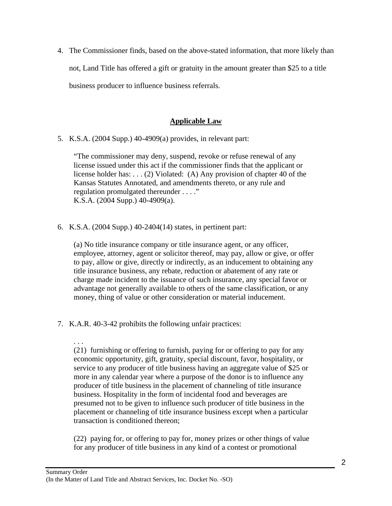4. The Commissioner finds, based on the above-stated information, that more likely than not, Land Title has offered a gift or gratuity in the amount greater than \$25 to a title business producer to influence business referrals.

# **Applicable Law**

5. K.S.A. (2004 Supp.) 40-4909(a) provides, in relevant part:

"The commissioner may deny, suspend, revoke or refuse renewal of any license issued under this act if the commissioner finds that the applicant or license holder has: . . . (2) Violated: (A) Any provision of chapter 40 of the Kansas Statutes Annotated, and amendments thereto, or any rule and regulation promulgated thereunder . . . ." K.S.A. (2004 Supp.) 40-4909(a).

6. K.S.A. (2004 Supp.) 40-2404(14) states, in pertinent part:

(a) No title insurance company or title insurance agent, or any officer, employee, attorney, agent or solicitor thereof, may pay, allow or give, or offer to pay, allow or give, directly or indirectly, as an inducement to obtaining any title insurance business, any rebate, reduction or abatement of any rate or charge made incident to the issuance of such insurance, any special favor or advantage not generally available to others of the same classification, or any money, thing of value or other consideration or material inducement.

7. K.A.R. 40-3-42 prohibits the following unfair practices:

. . . (21) furnishing or offering to furnish, paying for or offering to pay for any economic opportunity, gift, gratuity, special discount, favor, hospitality, or service to any producer of title business having an aggregate value of \$25 or more in any calendar year where a purpose of the donor is to influence any producer of title business in the placement of channeling of title insurance business. Hospitality in the form of incidental food and beverages are presumed not to be given to influence such producer of title business in the placement or channeling of title insurance business except when a particular transaction is conditioned thereon;

(22) paying for, or offering to pay for, money prizes or other things of value for any producer of title business in any kind of a contest or promotional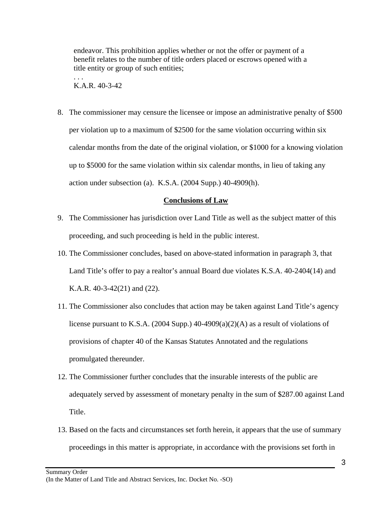endeavor. This prohibition applies whether or not the offer or payment of a benefit relates to the number of title orders placed or escrows opened with a title entity or group of such entities;

. . . K.A.R. 40-3-42

8. The commissioner may censure the licensee or impose an administrative penalty of \$500 per violation up to a maximum of \$2500 for the same violation occurring within six calendar months from the date of the original violation, or \$1000 for a knowing violation up to \$5000 for the same violation within six calendar months, in lieu of taking any action under subsection (a). K.S.A. (2004 Supp.) 40-4909(h).

### **Conclusions of Law**

- 9. The Commissioner has jurisdiction over Land Title as well as the subject matter of this proceeding, and such proceeding is held in the public interest.
- 10. The Commissioner concludes, based on above-stated information in paragraph 3, that Land Title's offer to pay a realtor's annual Board due violates K.S.A. 40-2404(14) and K.A.R. 40-3-42(21) and (22).
- 11. The Commissioner also concludes that action may be taken against Land Title's agency license pursuant to K.S.A. (2004 Supp.) 40-4909(a)(2)(A) as a result of violations of provisions of chapter 40 of the Kansas Statutes Annotated and the regulations promulgated thereunder.
- 12. The Commissioner further concludes that the insurable interests of the public are adequately served by assessment of monetary penalty in the sum of \$287.00 against Land Title.
- 13. Based on the facts and circumstances set forth herein, it appears that the use of summary proceedings in this matter is appropriate, in accordance with the provisions set forth in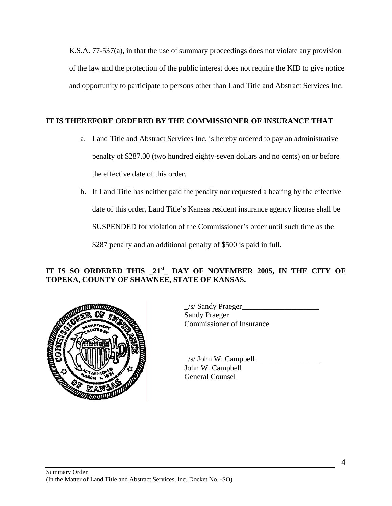K.S.A. 77-537(a), in that the use of summary proceedings does not violate any provision of the law and the protection of the public interest does not require the KID to give notice and opportunity to participate to persons other than Land Title and Abstract Services Inc.

# **IT IS THEREFORE ORDERED BY THE COMMISSIONER OF INSURANCE THAT**

- a. Land Title and Abstract Services Inc. is hereby ordered to pay an administrative penalty of \$287.00 (two hundred eighty-seven dollars and no cents) on or before the effective date of this order.
- b. If Land Title has neither paid the penalty nor requested a hearing by the effective date of this order, Land Title's Kansas resident insurance agency license shall be SUSPENDED for violation of the Commissioner's order until such time as the \$287 penalty and an additional penalty of \$500 is paid in full.

# **IT IS SO ORDERED THIS \_21st\_ DAY OF NOVEMBER 2005, IN THE CITY OF TOPEKA, COUNTY OF SHAWNEE, STATE OF KANSAS.**



 $\angle$ s/ Sandy Praeger $\angle$ Sandy Praeger Commissioner of Insurance

 $\angle$ s/ John W. Campbell John W. Campbell General Counsel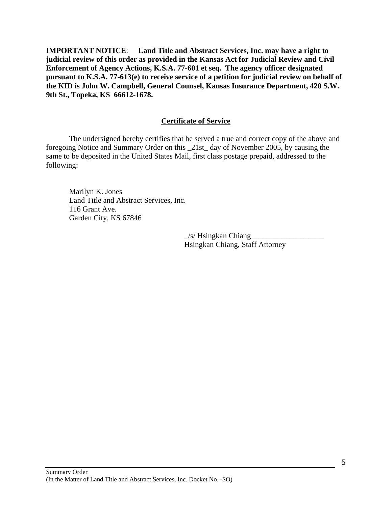**IMPORTANT NOTICE**: **Land Title and Abstract Services, Inc. may have a right to judicial review of this order as provided in the Kansas Act for Judicial Review and Civil Enforcement of Agency Actions, K.S.A. 77-601 et seq. The agency officer designated pursuant to K.S.A. 77-613(e) to receive service of a petition for judicial review on behalf of the KID is John W. Campbell, General Counsel, Kansas Insurance Department, 420 S.W. 9th St., Topeka, KS 66612-1678.** 

### **Certificate of Service**

 The undersigned hereby certifies that he served a true and correct copy of the above and foregoing Notice and Summary Order on this \_21st\_ day of November 2005, by causing the same to be deposited in the United States Mail, first class postage prepaid, addressed to the following:

 Marilyn K. Jones Land Title and Abstract Services, Inc. 116 Grant Ave. Garden City, KS 67846

> $/s$ / Hsingkan Chiang Hsingkan Chiang, Staff Attorney